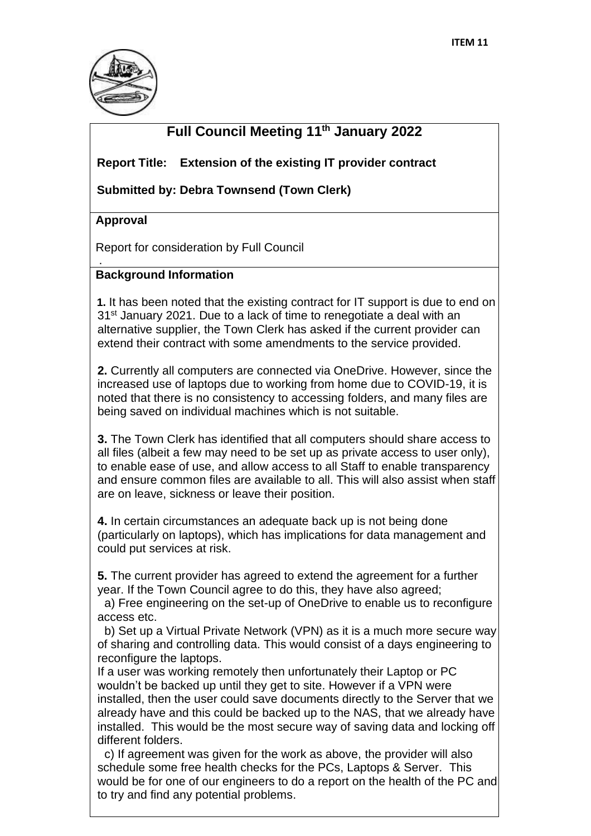

## **Full Council Meeting 11th January 2022**

 **Report Title: Extension of the existing IT provider contract**

 **Submitted by: Debra Townsend (Town Clerk)** 

#### **Approval**

.

Report for consideration by Full Council

#### **Background Information**

 **1.** It has been noted that the existing contract for IT support is due to end on 31<sup>st</sup> January 2021. Due to a lack of time to renegotiate a deal with an alternative supplier, the Town Clerk has asked if the current provider can extend their contract with some amendments to the service provided.

**2.** Currently all computers are connected via OneDrive. However, since the increased use of laptops due to working from home due to COVID-19, it is noted that there is no consistency to accessing folders, and many files are being saved on individual machines which is not suitable.

**3.** The Town Clerk has identified that all computers should share access to all files (albeit a few may need to be set up as private access to user only), to enable ease of use, and allow access to all Staff to enable transparency and ensure common files are available to all. This will also assist when staff are on leave, sickness or leave their position.

**4.** In certain circumstances an adequate back up is not being done (particularly on laptops), which has implications for data management and could put services at risk.

**5.** The current provider has agreed to extend the agreement for a further year. If the Town Council agree to do this, they have also agreed;

a) Free engineering on the set-up of OneDrive to enable us to reconfigure access etc.

b) Set up a Virtual Private Network (VPN) as it is a much more secure way of sharing and controlling data. This would consist of a days engineering to reconfigure the laptops.

If a user was working remotely then unfortunately their Laptop or PC wouldn't be backed up until they get to site. However if a VPN were installed, then the user could save documents directly to the Server that we already have and this could be backed up to the NAS, that we already have installed. This would be the most secure way of saving data and locking off different folders.

c) If agreement was given for the work as above, the provider will also schedule some free health checks for the PCs, Laptops & Server. This would be for one of our engineers to do a report on the health of the PC and to try and find any potential problems.